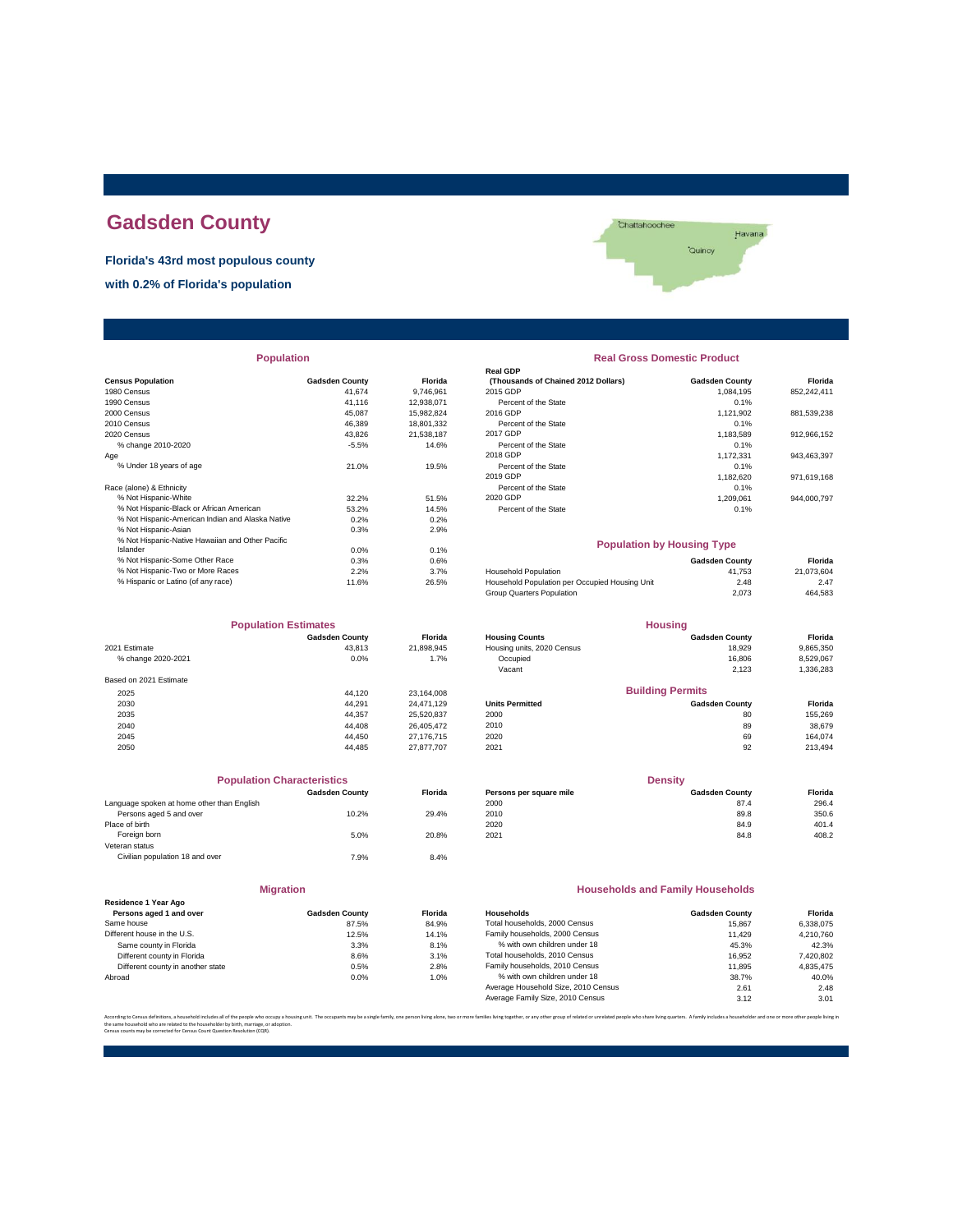# **Gadsden County**

**Florida's 43rd most populous county**

**with 0.2% of Florida's population**



| <b>Population</b>                                |                       |            | <b>Real Gross Domestic Product</b>             |                       |             |  |
|--------------------------------------------------|-----------------------|------------|------------------------------------------------|-----------------------|-------------|--|
|                                                  |                       |            | Real GDP                                       |                       |             |  |
| <b>Census Population</b>                         | <b>Gadsden County</b> | Florida    | (Thousands of Chained 2012 Dollars)            | <b>Gadsden County</b> | Florida     |  |
| 1980 Census                                      | 41.674                | 9,746,961  | 2015 GDP                                       | 1,084,195             | 852,242,411 |  |
| 1990 Census                                      | 41.116                | 12,938,071 | Percent of the State                           | 0.1%                  |             |  |
| 2000 Census                                      | 45.087                | 15,982,824 | 2016 GDP                                       | 1,121,902             | 881,539,238 |  |
| 2010 Census                                      | 46,389                | 18,801,332 | Percent of the State                           | 0.1%                  |             |  |
| 2020 Census                                      | 43.826                | 21,538,187 | 2017 GDP                                       | 1,183,589             | 912,966,152 |  |
| % change 2010-2020                               | $-5.5%$               | 14.6%      | Percent of the State                           | 0.1%                  |             |  |
| Age                                              |                       |            | 2018 GDP                                       | 1,172,331             | 943,463,397 |  |
| % Under 18 years of age                          | 21.0%                 | 19.5%      | Percent of the State                           | 0.1%                  |             |  |
|                                                  |                       |            | 2019 GDP                                       | 1,182,620             | 971,619,168 |  |
| Race (alone) & Ethnicity                         |                       |            | Percent of the State                           | 0.1%                  |             |  |
| % Not Hispanic-White                             | 32.2%                 | 51.5%      | 2020 GDP                                       | 1.209.061             | 944.000.797 |  |
| % Not Hispanic-Black or African American         | 53.2%                 | 14.5%      | Percent of the State                           | 0.1%                  |             |  |
| % Not Hispanic-American Indian and Alaska Native | 0.2%                  | 0.2%       |                                                |                       |             |  |
| % Not Hispanic-Asian                             | 0.3%                  | 2.9%       |                                                |                       |             |  |
| % Not Hispanic-Native Hawaiian and Other Pacific |                       |            | <b>Population by Housing Type</b>              |                       |             |  |
| Islander                                         | 0.0%                  | 0.1%       |                                                |                       |             |  |
| % Not Hispanic-Some Other Race                   | 0.3%                  | 0.6%       |                                                | <b>Gadsden County</b> | Florida     |  |
| % Not Hispanic-Two or More Races                 | 2.2%                  | 3.7%       | <b>Household Population</b>                    | 41.753                | 21,073,604  |  |
| % Hispanic or Latino (of any race)               | 11.6%                 | 26.5%      | Household Population per Occupied Housing Unit | 2.48                  | 2.47        |  |

| <b>Population Estimates</b> |                       |                | <b>Housing</b>             |                         |           |
|-----------------------------|-----------------------|----------------|----------------------------|-------------------------|-----------|
|                             | <b>Gadsden County</b> | <b>Florida</b> | <b>Housing Counts</b>      | <b>Gadsden County</b>   | Florida   |
| 2021 Estimate               | 43.813                | 21,898,945     | Housing units, 2020 Census | 18,929                  | 9,865,350 |
| % change 2020-2021          | 0.0%                  | 1.7%           | Occupied                   | 16,806                  | 8,529,067 |
|                             |                       |                | Vacant                     | 2,123                   | 1,336,283 |
| Based on 2021 Estimate      |                       |                |                            |                         |           |
| 2025                        | 44.120                | 23.164.008     |                            | <b>Building Permits</b> |           |
| 2030                        | 44.291                | 24.471.129     | <b>Units Permitted</b>     | <b>Gadsden County</b>   | Florida   |
| 2035                        | 44.357                | 25,520,837     | 2000                       | 80                      | 155,269   |
| 2040                        | 44.408                | 26.405.472     | 2010                       | 89                      | 38,679    |
| 2045                        | 44.450                | 27.176.715     | 2020                       | 69                      | 164.074   |
| 2050                        | 44.485                | 27.877.707     | 2021                       | 92                      | 213,494   |

|                                            | <b>Population Characteristics</b> |                |
|--------------------------------------------|-----------------------------------|----------------|
|                                            | <b>Gadsden County</b>             | <b>Florida</b> |
| Language spoken at home other than English |                                   |                |
| Persons aged 5 and over                    | 10.2%                             | 29.4%          |
| Place of birth                             |                                   |                |
| Foreign born                               | 5.0%                              | 20.8%          |
| Veteran status                             |                                   |                |
| Civilian population 18 and over            | 7.9%                              | 8.4%           |
|                                            |                                   |                |

| <b>Migration</b>                                |                       |                   |  |  |
|-------------------------------------------------|-----------------------|-------------------|--|--|
| Residence 1 Year Ago<br>Persons aged 1 and over | <b>Gadsden County</b> | <b>Florida</b>    |  |  |
| Same house                                      | 87.5%                 | 84.9%             |  |  |
| Different house in the U.S.                     | 12.5%                 | 14.1%             |  |  |
| Same county in Florida                          | 3.3%                  | 8.1%              |  |  |
| Different county in Florida                     | 8.6%                  | 3.1%              |  |  |
| Different county in another state               | 0.5%                  | 2.8%              |  |  |
| Ahrond                                          | 0.09 <sub>L</sub>     | 1.00 <sub>4</sub> |  |  |

| <b>Population</b> |                       |                | <b>Real Gross Domestic Product</b>  |                       |             |  |  |
|-------------------|-----------------------|----------------|-------------------------------------|-----------------------|-------------|--|--|
|                   |                       |                | <b>Real GDP</b>                     |                       |             |  |  |
|                   | <b>Gadsden County</b> | <b>Florida</b> | (Thousands of Chained 2012 Dollars) | <b>Gadsden County</b> | Florida     |  |  |
|                   | 41.674                | 9.746.961      | 2015 GDP                            | 1.084.195             | 852,242,411 |  |  |
|                   | 41.116                | 12.938.071     | Percent of the State                | 0.1%                  |             |  |  |
|                   | 45.087                | 15,982,824     | 2016 GDP                            | 1.121.902             | 881,539,238 |  |  |
|                   | 46.389                | 18,801,332     | Percent of the State                | 0.1%                  |             |  |  |
|                   | 43.826                | 21.538.187     | 2017 GDP                            | 1.183.589             | 912,966,152 |  |  |
|                   | $-5.5%$               | 14.6%          | Percent of the State                | 0.1%                  |             |  |  |
|                   |                       |                | 2018 GDP                            | 1,172,331             | 943,463,397 |  |  |
|                   | 21.0%                 | 19.5%          | Percent of the State                | 0.1%                  |             |  |  |
|                   |                       |                | 2019 GDP                            | 1.182.620             | 971,619,168 |  |  |
|                   |                       |                | Percent of the State                | 0.1%                  |             |  |  |
|                   | 32.2%                 | 51.5%          | 2020 GDP                            | 1.209.061             | 944,000,797 |  |  |
| n                 | 53.2%                 | 14.5%          | Percent of the State                | 0.1%                  |             |  |  |
| ska Native        | 0.2%                  | 0.2%           |                                     |                       |             |  |  |

### **Population by Housing Type**

|                                                | <b>Gadsden County</b> | Florida    |
|------------------------------------------------|-----------------------|------------|
| Household Population                           | 41.753                | 21.073.604 |
| Household Population per Occupied Housing Unit | 2.48                  | 2.47       |
| Group Quarters Population                      | 2.073                 | 464.583    |
|                                                |                       |            |

| <b>Population Estimates</b> |                       |                | <b>Housing</b>             |                         |           |  |
|-----------------------------|-----------------------|----------------|----------------------------|-------------------------|-----------|--|
|                             | <b>Gadsden County</b> | <b>Florida</b> | <b>Housing Counts</b>      | <b>Gadsden County</b>   | Florida   |  |
| 2021 Estimate               | 43.813                | 21.898.945     | Housing units, 2020 Census | 18,929                  | 9,865,350 |  |
| % change 2020-2021          | 0.0%                  | 1.7%           | Occupied                   | 16,806                  | 8.529.067 |  |
|                             |                       |                | Vacant                     | 2.123                   | 1,336,283 |  |
| Based on 2021 Estimate      |                       |                |                            |                         |           |  |
| 2025                        | 44.120                | 23.164.008     |                            | <b>Building Permits</b> |           |  |
| 2030                        | 44.291                | 24.471.129     | <b>Units Permitted</b>     | <b>Gadsden County</b>   | Florida   |  |
| 2035                        | 44.357                | 25.520.837     | 2000                       | 80                      | 155,269   |  |
| 2040                        | 44.408                | 26.405.472     | 2010                       | 89                      | 38,679    |  |
| 2045                        | 44.450                | 27.176.715     | 2020                       | 69                      | 164.074   |  |
|                             |                       |                |                            |                         |           |  |

|                                            | <b>Population Characteristics</b> |                |                         | <b>Density</b>        |         |
|--------------------------------------------|-----------------------------------|----------------|-------------------------|-----------------------|---------|
|                                            | <b>Gadsden County</b>             | <b>Florida</b> | Persons per square mile | <b>Gadsden County</b> | Florida |
| Language spoken at home other than English |                                   |                | 2000                    | 87.4                  | 296.4   |
| Persons aged 5 and over                    | 10.2%                             | 29.4%          | 2010                    | 89.8                  | 350.6   |
| Place of birth                             |                                   |                | 2020                    | 84.9                  | 401.4   |
| Foreign born                               | 5.0%                              | 20.8%          | 2021                    | 84.8                  | 408.2   |
|                                            |                                   |                |                         |                       |         |

#### **Households and Family Households**

| Residence 1 Year Ago              |                       |                |                                     |                       |           |
|-----------------------------------|-----------------------|----------------|-------------------------------------|-----------------------|-----------|
| Persons aged 1 and over           | <b>Gadsden County</b> | <b>Florida</b> | Households                          | <b>Gadsden County</b> | Florida   |
| Same house                        | 87.5%                 | 84.9%          | Total households, 2000 Census       | 15.867                | 6.338.075 |
| Different house in the U.S.       | 12.5%                 | 14.1%          | Family households, 2000 Census      | 11.429                | 4.210.760 |
| Same county in Florida            | 3.3%                  | 8.1%           | % with own children under 18        | 45.3%                 | 42.3%     |
| Different county in Florida       | 8.6%                  | 3.1%           | Total households, 2010 Census       | 16.952                | 7,420,802 |
| Different county in another state | 0.5%                  | 2.8%           | Family households, 2010 Census      | 11.895                | 4.835.475 |
| Abroad                            | 0.0%                  | 1.0%           | % with own children under 18        | 38.7%                 | 40.0%     |
|                                   |                       |                | Average Household Size, 2010 Census | 2.61                  | 2.48      |
|                                   |                       |                | Average Family Size, 2010 Census    | 3.12                  | 3.01      |

re families living together, or any other group of related or unrelated people who share living quarters. A family includes a householder and one or more other per

the same household who are related to the householder by birth, marriage, or adoption. Census counts may be corrected for Census Count Question Resolution (CQR).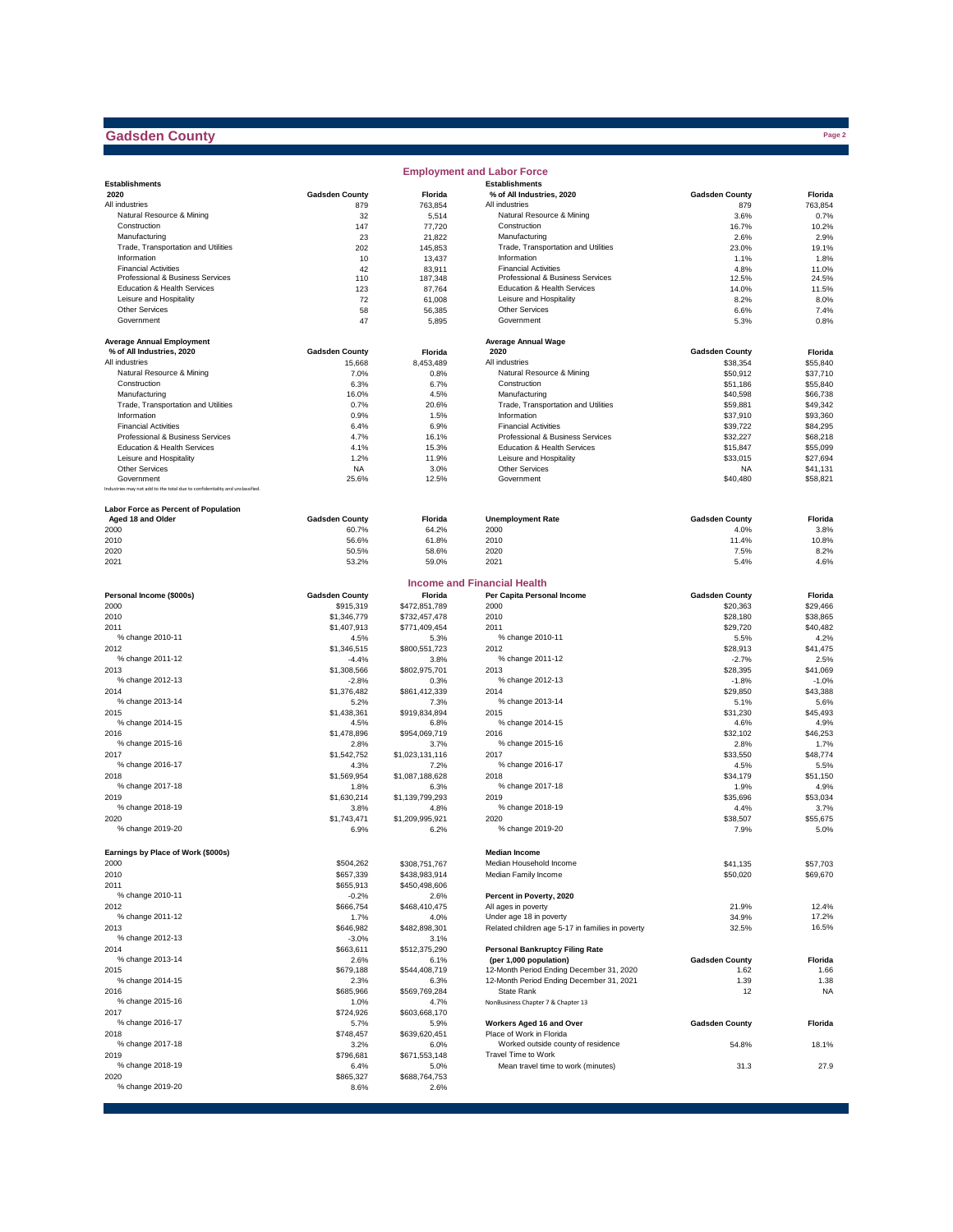## **Gadsden County**

|                                                                              |                       |                       | <b>Employment and Labor Force</b>                    |                       |                      |
|------------------------------------------------------------------------------|-----------------------|-----------------------|------------------------------------------------------|-----------------------|----------------------|
| <b>Establishments</b>                                                        |                       |                       | <b>Establishments</b>                                |                       |                      |
| 2020                                                                         | <b>Gadsden County</b> | Florida               | % of All Industries, 2020                            | <b>Gadsden County</b> | Florida              |
| All industries                                                               | 879                   | 763,854               | All industries                                       | 879                   | 763,854              |
| Natural Resource & Mining                                                    | 32                    | 5,514                 | Natural Resource & Mining                            | 3.6%                  | 0.7%                 |
| Construction                                                                 | 147<br>23             | 77,720                | Construction                                         | 16.7%                 | 10.2%<br>2.9%        |
| Manufacturing<br>Trade, Transportation and Utilities                         | 202                   | 21,822<br>145,853     | Manufacturing<br>Trade, Transportation and Utilities | 2.6%<br>23.0%         | 19.1%                |
| Information                                                                  | 10                    |                       | Information                                          | 1.1%                  | 1.8%                 |
| <b>Financial Activities</b>                                                  | 42                    | 13,437<br>83,911      | <b>Financial Activities</b>                          | 4.8%                  | 11.0%                |
| Professional & Business Services                                             | 110                   | 187,348               | Professional & Business Services                     | 12.5%                 | 24.5%                |
| Education & Health Services                                                  | 123                   | 87,764                | Education & Health Services                          | 14.0%                 | 11.5%                |
| Leisure and Hospitality                                                      | 72                    | 61,008                | Leisure and Hospitality                              | 8.2%                  | 8.0%                 |
| <b>Other Services</b>                                                        | 58                    | 56,385                | <b>Other Services</b>                                | 6.6%                  | 7.4%                 |
| Government                                                                   | 47                    | 5,895                 | Government                                           | 5.3%                  | 0.8%                 |
|                                                                              |                       |                       |                                                      |                       |                      |
| <b>Average Annual Employment</b>                                             |                       |                       | <b>Average Annual Wage</b>                           |                       |                      |
| % of All Industries, 2020                                                    | <b>Gadsden County</b> | Florida               | 2020                                                 | <b>Gadsden County</b> | Florida              |
| All industries                                                               | 15,668                | 8,453,489             | All industries                                       | \$38,354              | \$55,840             |
| Natural Resource & Mining                                                    | 7.0%                  | 0.8%                  | Natural Resource & Mining                            | \$50,912              | \$37,710             |
| Construction                                                                 | 6.3%                  | 6.7%                  | Construction                                         | \$51,186              | \$55,840             |
| Manufacturing                                                                | 16.0%                 | 4.5%                  | Manufacturing                                        | \$40,598              | \$66,738             |
| Trade, Transportation and Utilities                                          | 0.7%                  | 20.6%                 | Trade, Transportation and Utilities                  | \$59,881              | \$49,342             |
| Information                                                                  | 0.9%                  | 1.5%                  | Information<br><b>Financial Activities</b>           | \$37,910              | \$93,360             |
| <b>Financial Activities</b><br>Professional & Business Services              | 6.4%<br>4.7%          | 6.9%<br>16.1%         | Professional & Business Services                     | \$39,722              | \$84,295             |
| Education & Health Services                                                  |                       |                       | <b>Education &amp; Health Services</b>               | \$32,227              | \$68,218             |
| Leisure and Hospitality                                                      | 4.1%<br>1.2%          | 15.3%                 | Leisure and Hospitality                              | \$15,847              | \$55,099             |
| <b>Other Services</b>                                                        |                       | 11.9%                 | <b>Other Services</b>                                | \$33,015              | \$27,694<br>\$41,131 |
| Government                                                                   | <b>NA</b><br>25.6%    | 3.0%<br>12.5%         | Government                                           | <b>NA</b><br>\$40,480 | \$58,821             |
| Industries may not add to the total due to confidentiality and unclassified. |                       |                       |                                                      |                       |                      |
|                                                                              |                       |                       |                                                      |                       |                      |
| Labor Force as Percent of Population                                         |                       |                       |                                                      |                       |                      |
| Aged 18 and Older                                                            | <b>Gadsden County</b> | Florida               | <b>Unemployment Rate</b>                             | <b>Gadsden County</b> | Florida              |
| 2000                                                                         | 60.7%                 | 64.2%                 | 2000                                                 | 4.0%                  | 3.8%                 |
| 2010                                                                         | 56.6%                 | 61.8%                 | 2010                                                 | 11.4%                 | 10.8%                |
| 2020                                                                         | 50.5%                 | 58.6%                 | 2020                                                 | 7.5%                  | 8.2%                 |
| 2021                                                                         | 53.2%                 | 59.0%                 | 2021                                                 | 5.4%                  | 4.6%                 |
|                                                                              |                       |                       | <b>Income and Financial Health</b>                   |                       |                      |
| Personal Income (\$000s)                                                     | <b>Gadsden County</b> | Florida               | Per Capita Personal Income                           | <b>Gadsden County</b> | Florida              |
| 2000                                                                         | \$915,319             | \$472,851,789         | 2000                                                 | \$20,363              | \$29,466             |
| 2010                                                                         | \$1,346,779           | \$732,457,478         | 2010                                                 | \$28,180              | \$38,865             |
| 2011                                                                         | \$1,407,913           | \$771,409,454         | 2011                                                 | \$29,720              | \$40,482             |
| % change 2010-11                                                             | 4.5%                  | 5.3%                  | % change 2010-11                                     | 5.5%                  | 4.2%                 |
| 2012                                                                         | \$1,346,515           | \$800,551,723         | 2012                                                 | \$28,913              | \$41,475             |
| % change 2011-12                                                             | -4.4%                 | 3.8%                  | % change 2011-12                                     | $-2.7%$               | 2.5%                 |
| 2013                                                                         | \$1,308,566           | \$802,975,701         | 2013                                                 | \$28,395              | \$41,069             |
| % change 2012-13                                                             | $-2.8%$               | 0.3%                  | % change 2012-13                                     | $-1.8%$               | $-1.0%$              |
| 2014                                                                         | \$1,376,482           | \$861,412,339         | 2014                                                 | \$29,850              | \$43,388             |
| % change 2013-14                                                             | 5.2%                  | 7.3%                  | % change 2013-14                                     | 5.1%                  | 5.6%                 |
| 2015                                                                         | \$1,438,361           | \$919,834,894         | 2015                                                 | \$31,230              | \$45,493             |
| % change 2014-15                                                             | 4.5%                  | 6.8%                  | % change 2014-15                                     | 4.6%                  | 4.9%                 |
| 2016                                                                         | \$1,478,896           | \$954,069,719         | 2016                                                 | \$32,102              | \$46,253             |
| % change 2015-16                                                             | 2.8%                  | 3.7%                  | % change 2015-16                                     | 2.8%                  | 1.7%                 |
| 2017                                                                         | \$1,542,752           | \$1,023,131,116       | 2017                                                 | \$33,550              | \$48,774             |
| % change 2016-17                                                             | 4.3%                  | 7.2%                  | % change 2016-17                                     | 4.5%                  | 5.5%                 |
| 2018                                                                         | \$1,569,954           | \$1,087,188,628       | 2018                                                 | \$34,179              | \$51,150             |
| % change 2017-18                                                             | 1.8%                  | 6.3%                  | % change 2017-18                                     | 1.9%                  | 4.9%                 |
| 2019                                                                         | \$1,630,214           | \$1,139,799,293       | 2019                                                 | \$35,696              | \$53,034             |
| % change 2018-19                                                             | 3.8%                  | 4.8%                  | % change 2018-19                                     | 4.4%                  | 3.7%                 |
| 2020                                                                         | \$1,743,471           | \$1,209,995.921       | 2020                                                 | \$38,507              | \$55,675             |
| % change 2019-20                                                             | 6.9%                  | 6.2%                  | % change 2019-20                                     | 7.9%                  | 5.0%                 |
|                                                                              |                       |                       |                                                      |                       |                      |
| Earnings by Place of Work (\$000s)                                           |                       |                       | <b>Median Income</b>                                 |                       |                      |
| 2000                                                                         | \$504,262             | \$308,751,767         | Median Household Income                              | \$41,135              | \$57,703             |
| 2010                                                                         | \$657,339             | \$438,983,914         | Median Family Income                                 | \$50,020              | \$69,670             |
| 2011                                                                         | \$655,913             | \$450,498,606         |                                                      |                       |                      |
| % change 2010-11                                                             | $-0.2%$               | 2.6%                  | Percent in Poverty, 2020                             |                       |                      |
| 2012                                                                         | \$666,754             | \$468,410,475         | All ages in poverty                                  | 21.9%                 | 12.4%                |
| % change 2011-12                                                             | 1.7%                  | 4.0%                  | Under age 18 in poverty                              | 34.9%                 | 17.2%                |
| 2013                                                                         | \$646,982             | \$482,898,301         | Related children age 5-17 in families in poverty     | 32.5%                 | 16.5%                |
| % change 2012-13                                                             | $-3.0%$               | 3.1%                  |                                                      |                       |                      |
| 2014                                                                         | \$663,611             | \$512,375,290         | <b>Personal Bankruptcy Filing Rate</b>               |                       |                      |
| % change 2013-14                                                             | 2.6%                  | 6.1%                  | (per 1,000 population)                               | <b>Gadsden County</b> | Florida              |
| 2015                                                                         | \$679,188             | \$544,408,719         | 12-Month Period Ending December 31, 2020             | 1.62                  | 1.66                 |
| % change 2014-15                                                             | 2.3%                  | 6.3%                  | 12-Month Period Ending December 31, 2021             | 1.39                  | 1.38                 |
| 2016                                                                         | \$685,966             | \$569,769,284         | State Rank                                           | 12                    | <b>NA</b>            |
| % change 2015-16                                                             | 1.0%                  | 4.7%                  | NonBusiness Chapter 7 & Chapter 13                   |                       |                      |
| 2017                                                                         | \$724,926             | \$603,668,170         | Workers Aged 16 and Over                             | <b>Gadsden County</b> |                      |
| % change 2016-17                                                             | 5.7%                  | 5.9%                  | Place of Work in Florida                             |                       | Florida              |
| 2018<br>% change 2017-18                                                     | \$748,457             | \$639,620,451         | Worked outside county of residence                   |                       |                      |
| 2019                                                                         | 3.2%<br>\$796,681     | 6.0%<br>\$671,553,148 | Travel Time to Work                                  | 54.8%                 | 18.1%                |
| % change 2018-19                                                             | 6.4%                  |                       |                                                      |                       | 27.9                 |
| 2020                                                                         | \$865,327             | 5.0%<br>\$688,764,753 | Mean travel time to work (minutes)                   | 31.3                  |                      |
| % change 2019-20                                                             | 8.6%                  | 2.6%                  |                                                      |                       |                      |
|                                                                              |                       |                       |                                                      |                       |                      |